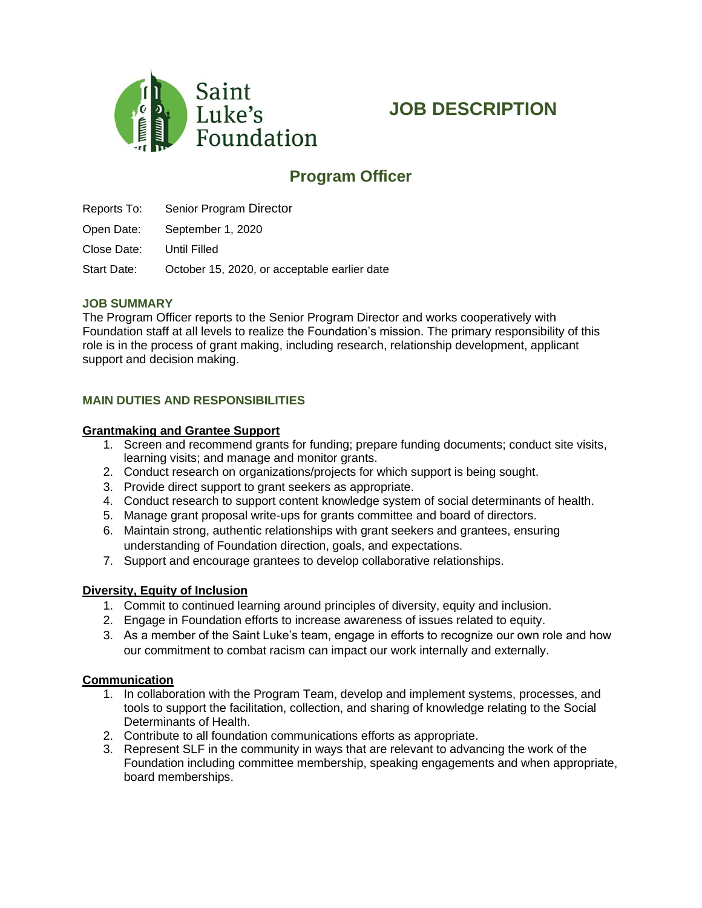

# **JOB DESCRIPTION**

## **Program Officer**

Reports To: Senior Program Director

Open Date: September 1, 2020

Close Date: Until Filled

Start Date: October 15, 2020, or acceptable earlier date

#### **JOB SUMMARY**

The Program Officer reports to the Senior Program Director and works cooperatively with Foundation staff at all levels to realize the Foundation's mission. The primary responsibility of this role is in the process of grant making, including research, relationship development, applicant support and decision making.

### **MAIN DUTIES AND RESPONSIBILITIES**

#### **Grantmaking and Grantee Support**

- 1. Screen and recommend grants for funding; prepare funding documents; conduct site visits, learning visits; and manage and monitor grants.
- 2. Conduct research on organizations/projects for which support is being sought.
- 3. Provide direct support to grant seekers as appropriate.
- 4. Conduct research to support content knowledge system of social determinants of health.
- 5. Manage grant proposal write-ups for grants committee and board of directors.
- 6. Maintain strong, authentic relationships with grant seekers and grantees, ensuring understanding of Foundation direction, goals, and expectations.
- 7. Support and encourage grantees to develop collaborative relationships.

#### **Diversity, Equity of Inclusion**

- 1. Commit to continued learning around principles of diversity, equity and inclusion.
- 2. Engage in Foundation efforts to increase awareness of issues related to equity.
- 3. As a member of the Saint Luke's team, engage in efforts to recognize our own role and how our commitment to combat racism can impact our work internally and externally.

#### **Communication**

- 1. In collaboration with the Program Team, develop and implement systems, processes, and tools to support the facilitation, collection, and sharing of knowledge relating to the Social Determinants of Health.
- 2. Contribute to all foundation communications efforts as appropriate.
- 3. Represent SLF in the community in ways that are relevant to advancing the work of the Foundation including committee membership, speaking engagements and when appropriate, board memberships.